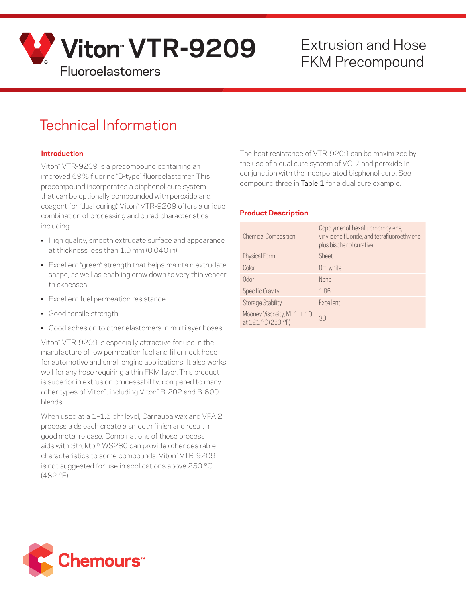

# Extrusion and Hose

## Technical Information

#### **Introduction**

Viton™ VTR-9209 is a precompound containing an improved 69% fluorine "B-type" fluoroelastomer. This precompound incorporates a bisphenol cure system that can be optionally compounded with peroxide and coagent for "dual curing." Viton™ VTR-9209 offers a unique combination of processing and cured characteristics including:

- High quality, smooth extrudate surface and appearance at thickness less than 1.0 mm (0.040 in)
- Excellent "green" strength that helps maintain extrudate shape, as well as enabling draw down to very thin veneer thicknesses
- Excellent fuel permeation resistance
- Good tensile strength
- Good adhesion to other elastomers in multilayer hoses

Viton™ VTR-9209 is especially attractive for use in the manufacture of low permeation fuel and filler neck hose for automotive and small engine applications. It also works well for any hose requiring a thin FKM layer. This product is superior in extrusion processability, compared to many other types of Viton™, including Viton™ B-202 and B-600 blends.

When used at a 1–1.5 phr level, Carnauba wax and VPA 2 process aids each create a smooth finish and result in good metal release. Combinations of these process aids with Struktol® WS280 can provide other desirable characteristics to some compounds. Viton™ VTR-9209 is not suggested for use in applications above 250 °C (482 °F).

The heat resistance of VTR-9209 can be maximized by the use of a dual cure system of VC-7 and peroxide in conjunction with the incorporated bisphenol cure. See compound three in Table 1 for a dual cure example.

#### **Product Description**

| <b>Chemical Composition</b>                         | Copolymer of hexafluoropropylene,<br>vinylidene fluoride, and tetrafluoroethylene<br>plus bisphenol curative |
|-----------------------------------------------------|--------------------------------------------------------------------------------------------------------------|
| Physical Form                                       | <b>Sheet</b>                                                                                                 |
| Color                                               | Off-white                                                                                                    |
| 0dor                                                | None                                                                                                         |
| <b>Specific Gravity</b>                             | 1.86                                                                                                         |
| <b>Storage Stability</b>                            | Excellent                                                                                                    |
| Mooney Viscosity, ML $1 + 10$<br>at 121 °C (250 °F) | 30                                                                                                           |

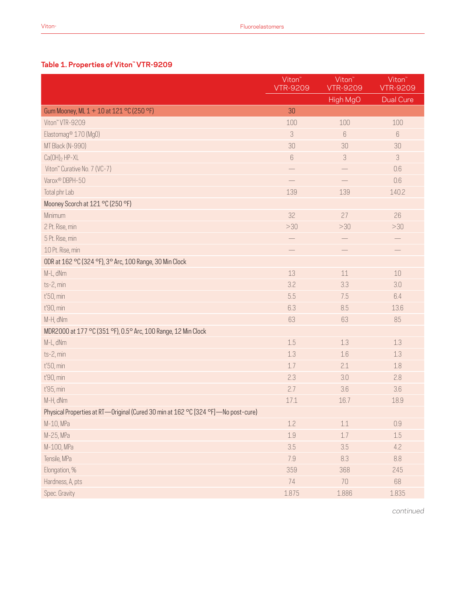#### **Table 1. Properties of Viton™ VTR-9209**

|                                                                                   | Viton <sup>~</sup><br><b>VTR-9209</b> | Viton <sup>"</sup><br><b>VTR-9209</b> | Viton <sup>"</sup><br><b>VTR-9209</b> |
|-----------------------------------------------------------------------------------|---------------------------------------|---------------------------------------|---------------------------------------|
|                                                                                   |                                       | High MgO                              | <b>Dual Cure</b>                      |
| Gum Mooney, ML 1 + 10 at 121 °C (250 °F)                                          | 30                                    |                                       |                                       |
| Viton" VTR-9209                                                                   | 100                                   | 100                                   | 100                                   |
| Elastomag <sup>®</sup> 170 (Mg0)                                                  | 3                                     | $6\,$                                 | 6                                     |
| MT Black (N-990)                                                                  | 30                                    | 30                                    | 30                                    |
| $Ca(OH)_2$ HP-XL                                                                  | $6\,$                                 | $\ensuremath{\mathsf{3}}$             | 3                                     |
| Viton" Curative No. 7 (VC-7)                                                      |                                       |                                       | 0.6                                   |
| Varox <sup>®</sup> DBPH-50                                                        |                                       |                                       | 0.6                                   |
| Total phr Lab                                                                     | 139                                   | 139                                   | 140.2                                 |
| Mooney Scorch at 121 °C (250 °F)                                                  |                                       |                                       |                                       |
| Minimum                                                                           | 32                                    | 27                                    | 26                                    |
| 2 Pt. Rise, min                                                                   | >30                                   | >30                                   | >30                                   |
| 5 Pt. Rise, min                                                                   |                                       |                                       |                                       |
| 10 Pt. Rise, min                                                                  |                                       |                                       |                                       |
| ODR at 162 °C (324 °F), 3° Arc, 100 Range, 30 Min Clock                           |                                       |                                       |                                       |
| M-L, dNm                                                                          | 13                                    | 11                                    | 10                                    |
| ts-2, min                                                                         | 3.2                                   | 3.3                                   | 3.0                                   |
| t'50, min                                                                         | 5.5                                   | 7.5                                   | 6.4                                   |
| t'90, min                                                                         | 6.3                                   | 8.5                                   | 13.6                                  |
| M-H, dNm                                                                          | 63                                    | 63                                    | 85                                    |
| MDR2000 at 177 °C (351 °F), 0.5° Arc, 100 Range, 12 Min Clock                     |                                       |                                       |                                       |
| M-L, dNm                                                                          | 1.5                                   | 1.3                                   | 1.3                                   |
| ts-2, min                                                                         | 1.3                                   | 1.6                                   | 1.3                                   |
| t'50, min                                                                         | 1.7                                   | 2.1                                   | 1.8                                   |
| t'90, min                                                                         | 2.3                                   | 3.0                                   | 2.8                                   |
| t'95, min                                                                         | 2.7                                   | 3.6                                   | 3.6                                   |
| M-H, dNm                                                                          | 17.1                                  | 16.7                                  | 18.9                                  |
| Physical Properties at RT-Original (Cured 30 min at 162 °C [324 °F]-No post-cure) |                                       |                                       |                                       |
| M-10, MPa                                                                         | 1.2                                   | $1.1\,$                               | 0.9                                   |
| M-25, MPa                                                                         | 1.9                                   | $1.7$                                 | 1.5                                   |
| M-100, MPa                                                                        | 3.5                                   | 3.5                                   | 4.2                                   |
| Tensile, MPa                                                                      | 7.9                                   | 8.3                                   | 8.8                                   |
| Elongation, %                                                                     | 359                                   | 368                                   | 245                                   |
| Hardness, A, pts                                                                  | 74                                    | 70                                    | 68                                    |
| Spec. Gravity                                                                     | 1.875                                 | 1.886                                 | 1.835                                 |

*continued*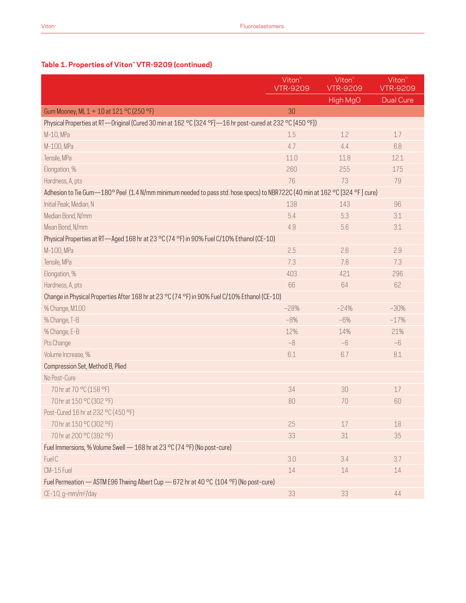### **Table 1. Properties of Viton™ VTR-9209 (continued)**

|                                                                                                                             | Viton <sup>"</sup><br><b>VTR-9209</b> | Viton <sup>"</sup><br><b>VTR-9209</b> | Viton <sup>"</sup><br><b>VTR-9209</b> |  |
|-----------------------------------------------------------------------------------------------------------------------------|---------------------------------------|---------------------------------------|---------------------------------------|--|
|                                                                                                                             |                                       | High MgO                              | <b>Dual Cure</b>                      |  |
| Gum Mooney, ML 1 + 10 at 121 °C (250 °F)                                                                                    | 30                                    |                                       |                                       |  |
| Physical Properties at RT—Original (Cured 30 min at 162 °C [324 °F]—16 hr post-cured at 232 °C [450 °F])                    |                                       |                                       |                                       |  |
| M-10, MPa                                                                                                                   | 1.5                                   | 1.2                                   | 1.7                                   |  |
| M-100, MPa                                                                                                                  | 4.7                                   | 4.4                                   | 6.8                                   |  |
| Tensile, MPa                                                                                                                | 11.0                                  | 11.8                                  | 12.1                                  |  |
| Elongation, %                                                                                                               | 260                                   | 255                                   | 175                                   |  |
| Hardness, A, pts                                                                                                            | 76                                    | 73                                    | 79                                    |  |
| Adhesion to Tie Gum—180° Peel (1.4 N/mm minimum needed to pass std. hose specs) to NBR722C (40 min at 162 °C [324 °F] cure) |                                       |                                       |                                       |  |
| Initial Peak, Median, N                                                                                                     | 138                                   | 143                                   | 96                                    |  |
| Median Bond, N/mm                                                                                                           | 5.4                                   | 5.3                                   | 3.1                                   |  |
| Mean Bond, N/mm                                                                                                             | 4.9                                   | 5.6                                   | 3.1                                   |  |
| Physical Properties at RT-Aged 168 hr at 23 °C (74 °F) in 90% Fuel C/10% Ethanol (CE-10)                                    |                                       |                                       |                                       |  |
| M-100, MPa                                                                                                                  | 2.5                                   | 2.6                                   | 2.9                                   |  |
| Tensile, MPa                                                                                                                | 7.3                                   | 7.8                                   | 7.3                                   |  |
| Elongation, %                                                                                                               | 403                                   | 421                                   | 296                                   |  |
| Hardness, A, pts                                                                                                            | 66                                    | 64                                    | 62                                    |  |
| Change in Physical Properties After 168 hr at 23 °C (74 °F) in 90% Fuel C/10% Ethanol (CE-10)                               |                                       |                                       |                                       |  |
| % Change, M100                                                                                                              | $-28%$                                | $-24%$                                | $-30%$                                |  |
| % Change, T-B                                                                                                               | $-8%$                                 | $-6%$                                 | $-17%$                                |  |
| % Change, E-B                                                                                                               | 12%                                   | 14%                                   | 21%                                   |  |
| Pts Change                                                                                                                  | $-8$                                  | $-6$                                  | $-6$                                  |  |
| Volume Increase, %                                                                                                          | 6.1                                   | 6.7                                   | 8.1                                   |  |
| Compression Set, Method B, Plied                                                                                            |                                       |                                       |                                       |  |
| No Post-Cure                                                                                                                |                                       |                                       |                                       |  |
| 70 hr at 70 °C (158 °F)                                                                                                     | 34                                    | 30                                    | 17                                    |  |
| 70 hr at 150 °C (302 °F)                                                                                                    | 80                                    | 70                                    | 60                                    |  |
| Post-Cured 16 hr at 232 °C (450 °F)                                                                                         |                                       |                                       |                                       |  |
| 70 hr at 150 °C (302 °F)                                                                                                    | 25                                    | 17                                    | 18                                    |  |
| 70 hr at 200 °C (392 °F)                                                                                                    | 33                                    | 31                                    | 35                                    |  |
| Fuel Immersions, % Volume Swell - 168 hr at 23 °C (74 °F) (No post-cure)                                                    |                                       |                                       |                                       |  |
| Fuel C                                                                                                                      | 3.0                                   | 3.4                                   | 3.7                                   |  |
| CM-15 Fuel                                                                                                                  | 14                                    | 14                                    | 14                                    |  |
| Fuel Permeation - ASTM E96 Thwing Albert Cup - 672 hr at 40 °C (104 °F) (No post-cure)                                      |                                       |                                       |                                       |  |
| CE-10, g-mm/m <sup>2</sup> /day                                                                                             | 33                                    | 33                                    | 44                                    |  |